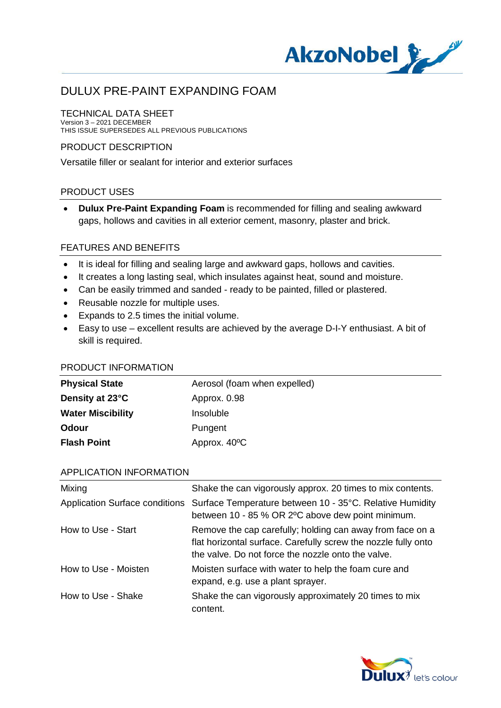

#### TECHNICAL DATA SHEET Version 3 – 2021 DECEMBER

THIS ISSUE SUPERSEDES ALL PREVIOUS PUBLICATIONS

### PRODUCT DESCRIPTION

Versatile filler or sealant for interior and exterior surfaces

### PRODUCT USES

· **Dulux Pre-Paint Expanding Foam** is recommended for filling and sealing awkward gaps, hollows and cavities in all exterior cement, masonry, plaster and brick.

#### FEATURES AND BENEFITS

- · It is ideal for filling and sealing large and awkward gaps, hollows and cavities.
- · It creates a long lasting seal, which insulates against heat, sound and moisture.
- · Can be easily trimmed and sanded ready to be painted, filled or plastered.
- · Reusable nozzle for multiple uses.
- · Expands to 2.5 times the initial volume.
- · Easy to use excellent results are achieved by the average D-I-Y enthusiast. A bit of skill is required.

#### PRODUCT INFORMATION

| <b>Physical State</b>    | Aerosol (foam when expelled) |
|--------------------------|------------------------------|
| Density at 23°C          | Approx. 0.98                 |
| <b>Water Miscibility</b> | <i>Insoluble</i>             |
| Odour                    | Pungent                      |
| <b>Flash Point</b>       | Approx. 40°C                 |

### APPLICATION INFORMATION

| Mixing               | Shake the can vigorously approx. 20 times to mix contents.                                                                                                                        |
|----------------------|-----------------------------------------------------------------------------------------------------------------------------------------------------------------------------------|
|                      | Application Surface conditions Surface Temperature between 10 - 35°C. Relative Humidity<br>between 10 - 85 % OR 2°C above dew point minimum.                                      |
| How to Use - Start   | Remove the cap carefully; holding can away from face on a<br>flat horizontal surface. Carefully screw the nozzle fully onto<br>the valve. Do not force the nozzle onto the valve. |
| How to Use - Moisten | Moisten surface with water to help the foam cure and<br>expand, e.g. use a plant sprayer.                                                                                         |
| How to Use - Shake   | Shake the can vigorously approximately 20 times to mix<br>content.                                                                                                                |

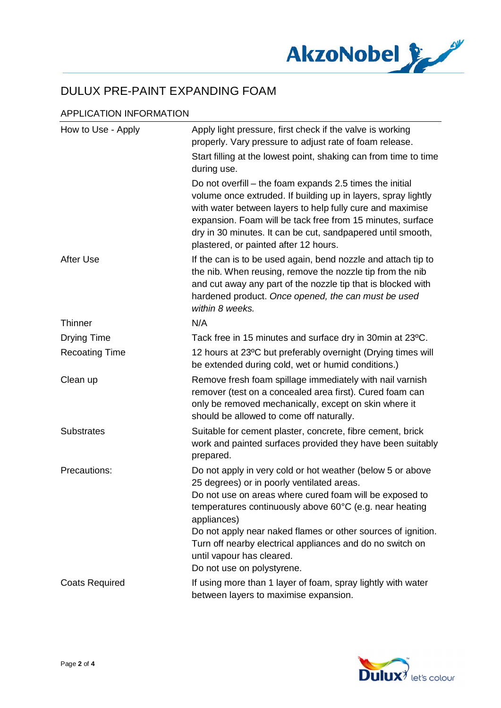

## APPLICATION INFORMATION

| How to Use - Apply    | Apply light pressure, first check if the valve is working<br>properly. Vary pressure to adjust rate of foam release.                                                                                                                                                                                                                                                                                                                  |
|-----------------------|---------------------------------------------------------------------------------------------------------------------------------------------------------------------------------------------------------------------------------------------------------------------------------------------------------------------------------------------------------------------------------------------------------------------------------------|
|                       | Start filling at the lowest point, shaking can from time to time<br>during use.                                                                                                                                                                                                                                                                                                                                                       |
|                       | Do not overfill – the foam expands 2.5 times the initial<br>volume once extruded. If building up in layers, spray lightly<br>with water between layers to help fully cure and maximise<br>expansion. Foam will be tack free from 15 minutes, surface<br>dry in 30 minutes. It can be cut, sandpapered until smooth,<br>plastered, or painted after 12 hours.                                                                          |
| After Use             | If the can is to be used again, bend nozzle and attach tip to<br>the nib. When reusing, remove the nozzle tip from the nib<br>and cut away any part of the nozzle tip that is blocked with<br>hardened product. Once opened, the can must be used<br>within 8 weeks.                                                                                                                                                                  |
| <b>Thinner</b>        | N/A                                                                                                                                                                                                                                                                                                                                                                                                                                   |
| <b>Drying Time</b>    | Tack free in 15 minutes and surface dry in 30min at 23°C.                                                                                                                                                                                                                                                                                                                                                                             |
| <b>Recoating Time</b> | 12 hours at 23°C but preferably overnight (Drying times will<br>be extended during cold, wet or humid conditions.)                                                                                                                                                                                                                                                                                                                    |
| Clean up              | Remove fresh foam spillage immediately with nail varnish<br>remover (test on a concealed area first). Cured foam can<br>only be removed mechanically, except on skin where it<br>should be allowed to come off naturally.                                                                                                                                                                                                             |
| <b>Substrates</b>     | Suitable for cement plaster, concrete, fibre cement, brick<br>work and painted surfaces provided they have been suitably<br>prepared.                                                                                                                                                                                                                                                                                                 |
| Precautions:          | Do not apply in very cold or hot weather (below 5 or above<br>25 degrees) or in poorly ventilated areas.<br>Do not use on areas where cured foam will be exposed to<br>temperatures continuously above 60°C (e.g. near heating<br>appliances)<br>Do not apply near naked flames or other sources of ignition.<br>Turn off nearby electrical appliances and do no switch on<br>until vapour has cleared.<br>Do not use on polystyrene. |
| <b>Coats Required</b> | If using more than 1 layer of foam, spray lightly with water<br>between layers to maximise expansion.                                                                                                                                                                                                                                                                                                                                 |

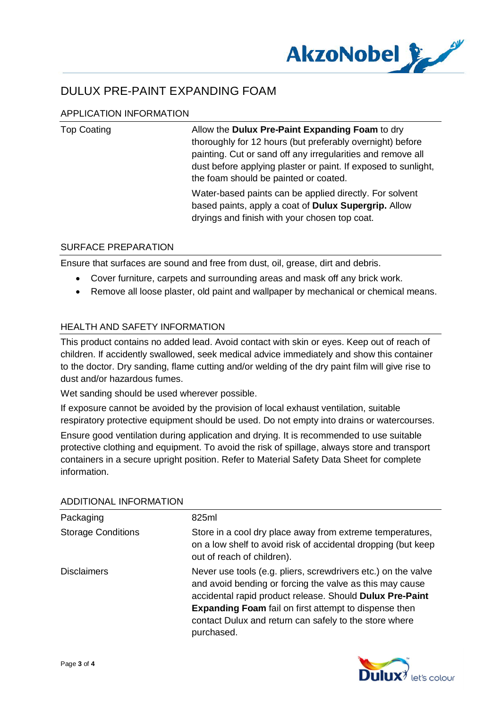

## APPLICATION INFORMATION

| <b>Top Coating</b> | Allow the Dulux Pre-Paint Expanding Foam to dry<br>thoroughly for 12 hours (but preferably overnight) before<br>painting. Cut or sand off any irregularities and remove all<br>dust before applying plaster or paint. If exposed to sunlight,<br>the foam should be painted or coated. |
|--------------------|----------------------------------------------------------------------------------------------------------------------------------------------------------------------------------------------------------------------------------------------------------------------------------------|
|                    | Water-based paints can be applied directly. For solvent<br>based paints, apply a coat of <b>Dulux Supergrip.</b> Allow<br>dryings and finish with your chosen top coat.                                                                                                                |

### SURFACE PREPARATION

Ensure that surfaces are sound and free from dust, oil, grease, dirt and debris.

- · Cover furniture, carpets and surrounding areas and mask off any brick work.
- · Remove all loose plaster, old paint and wallpaper by mechanical or chemical means.

## HEALTH AND SAFETY INFORMATION

This product contains no added lead. Avoid contact with skin or eyes. Keep out of reach of children. If accidently swallowed, seek medical advice immediately and show this container to the doctor. Dry sanding, flame cutting and/or welding of the dry paint film will give rise to dust and/or hazardous fumes.

Wet sanding should be used wherever possible.

If exposure cannot be avoided by the provision of local exhaust ventilation, suitable respiratory protective equipment should be used. Do not empty into drains or watercourses.

Ensure good ventilation during application and drying. It is recommended to use suitable protective clothing and equipment. To avoid the risk of spillage, always store and transport containers in a secure upright position. Refer to Material Safety Data Sheet for complete information.

| Packaging                 | 825ml                                                                                                                                                                                                                                                                                                                         |
|---------------------------|-------------------------------------------------------------------------------------------------------------------------------------------------------------------------------------------------------------------------------------------------------------------------------------------------------------------------------|
| <b>Storage Conditions</b> | Store in a cool dry place away from extreme temperatures,<br>on a low shelf to avoid risk of accidental dropping (but keep<br>out of reach of children).                                                                                                                                                                      |
| <b>Disclaimers</b>        | Never use tools (e.g. pliers, screwdrivers etc.) on the valve<br>and avoid bending or forcing the valve as this may cause<br>accidental rapid product release. Should Dulux Pre-Paint<br><b>Expanding Foam</b> fail on first attempt to dispense then<br>contact Dulux and return can safely to the store where<br>purchased. |

#### ADDITIONAL INFORMATION